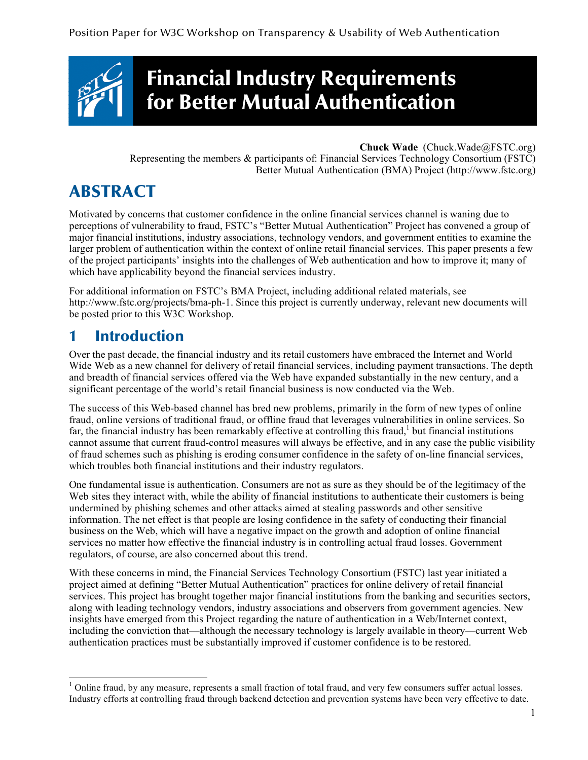

# Financial Industry Requirements for Better Mutual Authentication

#### **Chuck Wade** (Chuck.Wade@FSTC.org)

Representing the members & participants of: Financial Services Technology Consortium (FSTC) Better Mutual Authentication (BMA) Project (http://www.fstc.org)

# ABSTRACT

Motivated by concerns that customer confidence in the online financial services channel is waning due to perceptions of vulnerability to fraud, FSTC's "Better Mutual Authentication" Project has convened a group of major financial institutions, industry associations, technology vendors, and government entities to examine the larger problem of authentication within the context of online retail financial services. This paper presents a few of the project participants' insights into the challenges of Web authentication and how to improve it; many of which have applicability beyond the financial services industry.

For additional information on FSTC's BMA Project, including additional related materials, see http://www.fstc.org/projects/bma-ph-1. Since this project is currently underway, relevant new documents will be posted prior to this W3C Workshop.

### 1 Introduction

Over the past decade, the financial industry and its retail customers have embraced the Internet and World Wide Web as a new channel for delivery of retail financial services, including payment transactions. The depth and breadth of financial services offered via the Web have expanded substantially in the new century, and a significant percentage of the world's retail financial business is now conducted via the Web.

The success of this Web-based channel has bred new problems, primarily in the form of new types of online fraud, online versions of traditional fraud, or offline fraud that leverages vulnerabilities in online services. So far, the financial industry has been remarkably effective at controlling this fraud,<sup>1</sup> but financial institutions cannot assume that current fraud-control measures will always be effective, and in any case the public visibility of fraud schemes such as phishing is eroding consumer confidence in the safety of on-line financial services, which troubles both financial institutions and their industry regulators.

One fundamental issue is authentication. Consumers are not as sure as they should be of the legitimacy of the Web sites they interact with, while the ability of financial institutions to authenticate their customers is being undermined by phishing schemes and other attacks aimed at stealing passwords and other sensitive information. The net effect is that people are losing confidence in the safety of conducting their financial business on the Web, which will have a negative impact on the growth and adoption of online financial services no matter how effective the financial industry is in controlling actual fraud losses. Government regulators, of course, are also concerned about this trend.

With these concerns in mind, the Financial Services Technology Consortium (FSTC) last year initiated a project aimed at defining "Better Mutual Authentication" practices for online delivery of retail financial services. This project has brought together major financial institutions from the banking and securities sectors, along with leading technology vendors, industry associations and observers from government agencies. New insights have emerged from this Project regarding the nature of authentication in a Web/Internet context, including the conviction that—although the necessary technology is largely available in theory—current Web authentication practices must be substantially improved if customer confidence is to be restored.

 $<sup>1</sup>$  Online fraud, by any measure, represents a small fraction of total fraud, and very few consumers suffer actual losses.</sup> Industry efforts at controlling fraud through backend detection and prevention systems have been very effective to date.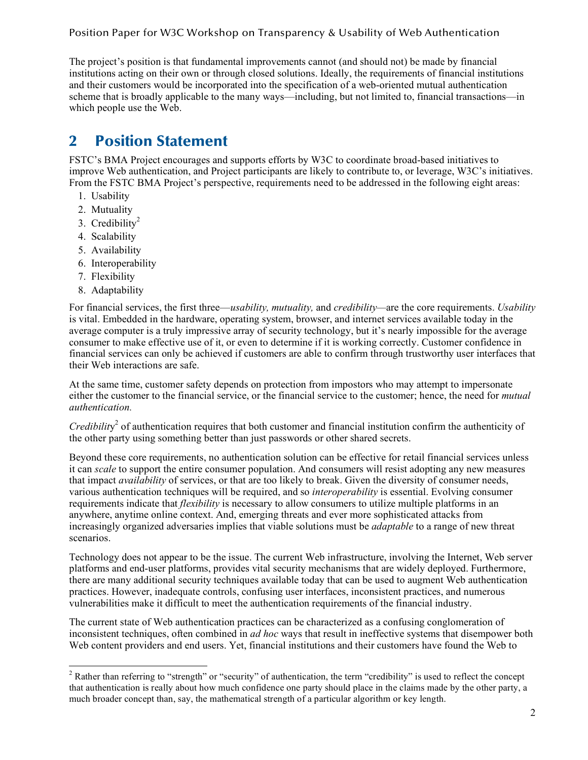The project's position is that fundamental improvements cannot (and should not) be made by financial institutions acting on their own or through closed solutions. Ideally, the requirements of financial institutions and their customers would be incorporated into the specification of a web-oriented mutual authentication scheme that is broadly applicable to the many ways—including, but not limited to, financial transactions—in which people use the Web.

# 2 Position Statement

FSTC's BMA Project encourages and supports efforts by W3C to coordinate broad-based initiatives to improve Web authentication, and Project participants are likely to contribute to, or leverage, W3C's initiatives. From the FSTC BMA Project's perspective, requirements need to be addressed in the following eight areas:

- 1. Usability
- 2. Mutuality
- 3. Credibility<sup>2</sup>
- 4. Scalability
- 5. Availability
- 6. Interoperability
- 7. Flexibility
- 8. Adaptability

For financial services, the first three—*usability, mutuality,* and *credibility—*are the core requirements. *Usability* is vital. Embedded in the hardware, operating system, browser, and internet services available today in the average computer is a truly impressive array of security technology, but it's nearly impossible for the average consumer to make effective use of it, or even to determine if it is working correctly. Customer confidence in financial services can only be achieved if customers are able to confirm through trustworthy user interfaces that their Web interactions are safe.

At the same time, customer safety depends on protection from impostors who may attempt to impersonate either the customer to the financial service, or the financial service to the customer; hence, the need for *mutual authentication.*

*Credibilit*y 2 of authentication requires that both customer and financial institution confirm the authenticity of the other party using something better than just passwords or other shared secrets.

Beyond these core requirements, no authentication solution can be effective for retail financial services unless it can *scale* to support the entire consumer population. And consumers will resist adopting any new measures that impact *availability* of services, or that are too likely to break. Given the diversity of consumer needs, various authentication techniques will be required, and so *interoperability* is essential. Evolving consumer requirements indicate that *flexibility* is necessary to allow consumers to utilize multiple platforms in an anywhere, anytime online context. And, emerging threats and ever more sophisticated attacks from increasingly organized adversaries implies that viable solutions must be *adaptable* to a range of new threat scenarios.

Technology does not appear to be the issue. The current Web infrastructure, involving the Internet, Web server platforms and end-user platforms, provides vital security mechanisms that are widely deployed. Furthermore, there are many additional security techniques available today that can be used to augment Web authentication practices. However, inadequate controls, confusing user interfaces, inconsistent practices, and numerous vulnerabilities make it difficult to meet the authentication requirements of the financial industry.

The current state of Web authentication practices can be characterized as a confusing conglomeration of inconsistent techniques, often combined in *ad hoc* ways that result in ineffective systems that disempower both Web content providers and end users. Yet, financial institutions and their customers have found the Web to

 $2$  Rather than referring to "strength" or "security" of authentication, the term "credibility" is used to reflect the concept that authentication is really about how much confidence one party should place in the claims made by the other party, a much broader concept than, say, the mathematical strength of a particular algorithm or key length.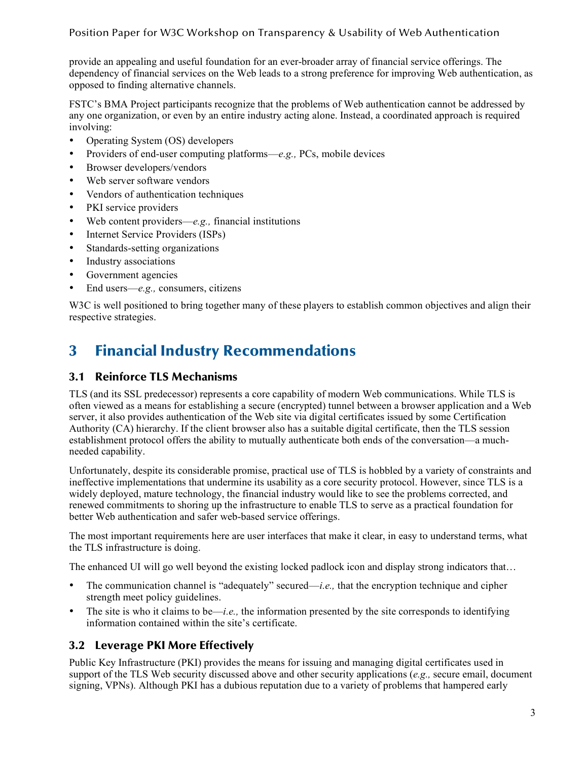provide an appealing and useful foundation for an ever-broader array of financial service offerings. The dependency of financial services on the Web leads to a strong preference for improving Web authentication, as opposed to finding alternative channels.

FSTC's BMA Project participants recognize that the problems of Web authentication cannot be addressed by any one organization, or even by an entire industry acting alone. Instead, a coordinated approach is required involving:

- Operating System (OS) developers
- Providers of end-user computing platforms—*e.g.,* PCs, mobile devices
- Browser developers/vendors
- Web server software vendors
- Vendors of authentication techniques
- PKI service providers
- Web content providers—*e.g.,* financial institutions
- Internet Service Providers (ISPs)
- Standards-setting organizations
- Industry associations
- Government agencies
- End users—*e.g.,* consumers, citizens

W<sub>3</sub>C is well positioned to bring together many of these players to establish common objectives and align their respective strategies.

## 3 Financial Industry Recommendations

#### 3.1 Reinforce TLS Mechanisms

TLS (and its SSL predecessor) represents a core capability of modern Web communications. While TLS is often viewed as a means for establishing a secure (encrypted) tunnel between a browser application and a Web server, it also provides authentication of the Web site via digital certificates issued by some Certification Authority (CA) hierarchy. If the client browser also has a suitable digital certificate, then the TLS session establishment protocol offers the ability to mutually authenticate both ends of the conversation—a muchneeded capability.

Unfortunately, despite its considerable promise, practical use of TLS is hobbled by a variety of constraints and ineffective implementations that undermine its usability as a core security protocol. However, since TLS is a widely deployed, mature technology, the financial industry would like to see the problems corrected, and renewed commitments to shoring up the infrastructure to enable TLS to serve as a practical foundation for better Web authentication and safer web-based service offerings.

The most important requirements here are user interfaces that make it clear, in easy to understand terms, what the TLS infrastructure is doing.

The enhanced UI will go well beyond the existing locked padlock icon and display strong indicators that…

- The communication channel is "adequately" secured—*i.e.*, that the encryption technique and cipher strength meet policy guidelines.
- The site is who it claims to be—*i.e.,* the information presented by the site corresponds to identifying information contained within the site's certificate.

#### 3.2 Leverage PKI More Effectively

Public Key Infrastructure (PKI) provides the means for issuing and managing digital certificates used in support of the TLS Web security discussed above and other security applications (*e.g.,* secure email, document signing, VPNs). Although PKI has a dubious reputation due to a variety of problems that hampered early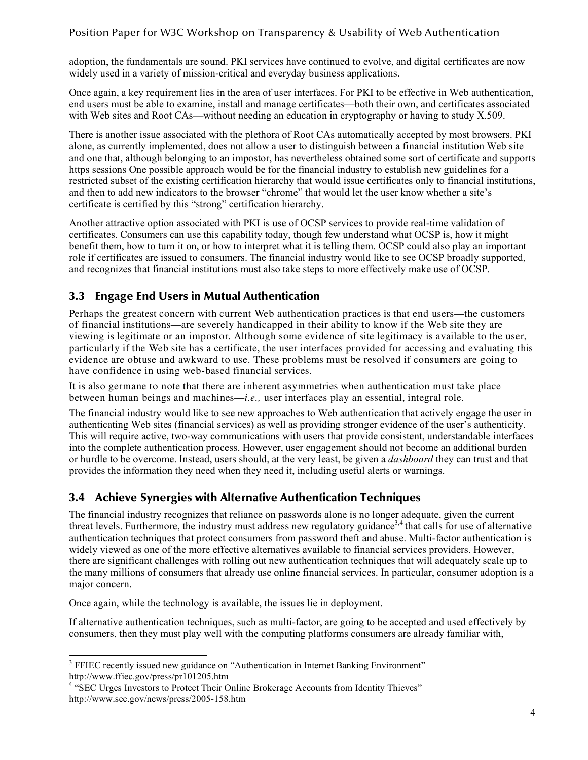#### Position Paper for W3C Workshop on Transparency & Usability of Web Authentication

adoption, the fundamentals are sound. PKI services have continued to evolve, and digital certificates are now widely used in a variety of mission-critical and everyday business applications.

Once again, a key requirement lies in the area of user interfaces. For PKI to be effective in Web authentication, end users must be able to examine, install and manage certificates—both their own, and certificates associated with Web sites and Root CAs—without needing an education in cryptography or having to study X.509.

There is another issue associated with the plethora of Root CAs automatically accepted by most browsers. PKI alone, as currently implemented, does not allow a user to distinguish between a financial institution Web site and one that, although belonging to an impostor, has nevertheless obtained some sort of certificate and supports https sessions One possible approach would be for the financial industry to establish new guidelines for a restricted subset of the existing certification hierarchy that would issue certificates only to financial institutions, and then to add new indicators to the browser "chrome" that would let the user know whether a site's certificate is certified by this "strong" certification hierarchy.

Another attractive option associated with PKI is use of OCSP services to provide real-time validation of certificates. Consumers can use this capability today, though few understand what OCSP is, how it might benefit them, how to turn it on, or how to interpret what it is telling them. OCSP could also play an important role if certificates are issued to consumers. The financial industry would like to see OCSP broadly supported, and recognizes that financial institutions must also take steps to more effectively make use of OCSP.

#### 3.3 Engage End Users in Mutual Authentication

Perhaps the greatest concern with current Web authentication practices is that end users—the customers of financial institutions—are severely handicapped in their ability to know if the Web site they are viewing is legitimate or an impostor. Although some evidence of site legitimacy is available to the user, particularly if the Web site has a certificate, the user interfaces provided for accessing and evaluating this evidence are obtuse and awkward to use. These problems must be resolved if consumers are going to have confidence in using web-based financial services.

It is also germane to note that there are inherent asymmetries when authentication must take place between human beings and machines—*i.e.,* user interfaces play an essential, integral role.

The financial industry would like to see new approaches to Web authentication that actively engage the user in authenticating Web sites (financial services) as well as providing stronger evidence of the user's authenticity. This will require active, two-way communications with users that provide consistent, understandable interfaces into the complete authentication process. However, user engagement should not become an additional burden or hurdle to be overcome. Instead, users should, at the very least, be given a *dashboard* they can trust and that provides the information they need when they need it, including useful alerts or warnings.

#### 3.4 Achieve Synergies with Alternative Authentication Techniques

The financial industry recognizes that reliance on passwords alone is no longer adequate, given the current threat levels. Furthermore, the industry must address new regulatory guidance<sup>3,4</sup> that calls for use of alternative authentication techniques that protect consumers from password theft and abuse. Multi-factor authentication is widely viewed as one of the more effective alternatives available to financial services providers. However, there are significant challenges with rolling out new authentication techniques that will adequately scale up to the many millions of consumers that already use online financial services. In particular, consumer adoption is a major concern.

Once again, while the technology is available, the issues lie in deployment.

If alternative authentication techniques, such as multi-factor, are going to be accepted and used effectively by consumers, then they must play well with the computing platforms consumers are already familiar with,

<sup>&</sup>lt;sup>3</sup> FFIEC recently issued new guidance on "Authentication in Internet Banking Environment" http://www.ffiec.gov/press/pr101205.htm<br><sup>4</sup> "SEC Urges Investors to Protect Their Online Brokerage Accounts from Identity Thieves"

http://www.sec.gov/news/press/2005-158.htm